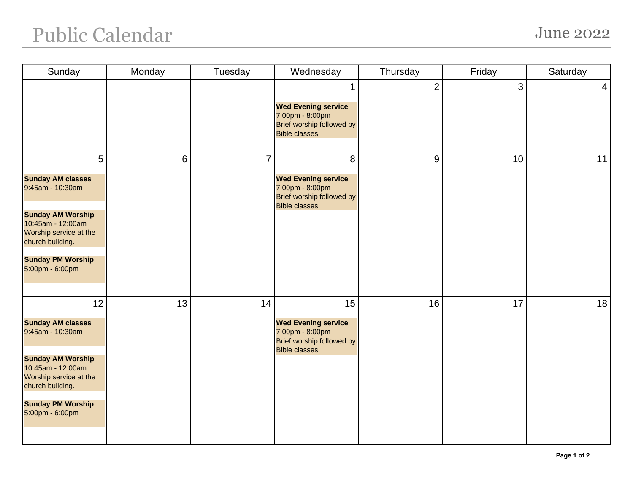## Public Calendar June 2022

| Sunday                                                                                                                                                                                                        | Monday | Tuesday        | Wednesday                                                                                                 | Thursday       | Friday | Saturday        |
|---------------------------------------------------------------------------------------------------------------------------------------------------------------------------------------------------------------|--------|----------------|-----------------------------------------------------------------------------------------------------------|----------------|--------|-----------------|
|                                                                                                                                                                                                               |        |                | <b>Wed Evening service</b><br>7:00pm - 8:00pm<br>Brief worship followed by<br>Bible classes.              | $\overline{2}$ | 3      | $\vert 4 \vert$ |
| $5\overline{)}$<br><b>Sunday AM classes</b><br>9:45am - 10:30am<br><b>Sunday AM Worship</b><br>10:45am - 12:00am<br>Worship service at the<br>church building.<br><b>Sunday PM Worship</b><br>5:00pm - 6:00pm | 6      | $\overline{7}$ | 8<br><b>Wed Evening service</b><br>7:00pm - 8:00pm<br>Brief worship followed by<br><b>Bible classes.</b>  | 9              | 10     | 11              |
| 12<br><b>Sunday AM classes</b><br>9:45am - 10:30am<br><b>Sunday AM Worship</b><br>10:45am - 12:00am<br>Worship service at the<br>church building.<br><b>Sunday PM Worship</b><br>5:00pm - 6:00pm              | 13     | 14             | 15<br><b>Wed Evening service</b><br>7:00pm - 8:00pm<br>Brief worship followed by<br><b>Bible classes.</b> | 16             | 17     | 18              |